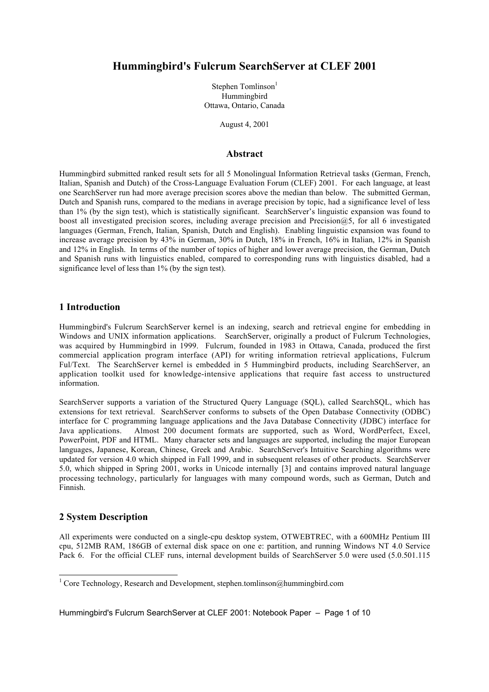# **Hummingbird's Fulcrum SearchServer at CLEF 2001**

Stephen Tomlinson<sup>1</sup> **Hummingbird** Ottawa, Ontario, Canada

August 4, 2001

### **Abstract**

Hummingbird submitted ranked result sets for all 5 Monolingual Information Retrieval tasks (German, French, Italian, Spanish and Dutch) of the Cross-Language Evaluation Forum (CLEF) 2001. For each language, at least one SearchServer run had more average precision scores above the median than below. The submitted German, Dutch and Spanish runs, compared to the medians in average precision by topic, had a significance level of less than 1% (by the sign test), which is statistically significant. SearchServer's linguistic expansion was found to boost all investigated precision scores, including average precision and Precision@5, for all 6 investigated languages (German, French, Italian, Spanish, Dutch and English). Enabling linguistic expansion was found to increase average precision by 43% in German, 30% in Dutch, 18% in French, 16% in Italian, 12% in Spanish and 12% in English. In terms of the number of topics of higher and lower average precision, the German, Dutch and Spanish runs with linguistics enabled, compared to corresponding runs with linguistics disabled, had a significance level of less than 1% (by the sign test).

## **1 Introduction**

Hummingbird's Fulcrum SearchServer kernel is an indexing, search and retrieval engine for embedding in Windows and UNIX information applications. SearchServer, originally a product of Fulcrum Technologies, was acquired by Hummingbird in 1999. Fulcrum, founded in 1983 in Ottawa, Canada, produced the first commercial application program interface (API) for writing information retrieval applications, Fulcrum Ful/Text. The SearchServer kernel is embedded in 5 Hummingbird products, including SearchServer, an application toolkit used for knowledge-intensive applications that require fast access to unstructured information.

SearchServer supports a variation of the Structured Query Language (SQL), called SearchSQL, which has extensions for text retrieval. SearchServer conforms to subsets of the Open Database Connectivity (ODBC) interface for C programming language applications and the Java Database Connectivity (JDBC) interface for Java applications. Almost 200 document formats are supported, such as Word, WordPerfect, Excel, PowerPoint, PDF and HTML. Many character sets and languages are supported, including the major European languages, Japanese, Korean, Chinese, Greek and Arabic. SearchServer's Intuitive Searching algorithms were updated for version 4.0 which shipped in Fall 1999, and in subsequent releases of other products. SearchServer 5.0, which shipped in Spring 2001, works in Unicode internally [3] and contains improved natural language processing technology, particularly for languages with many compound words, such as German, Dutch and Finnish.

## **2 System Description**

 $\overline{\phantom{a}}$ 

All experiments were conducted on a single-cpu desktop system, OTWEBTREC, with a 600MHz Pentium III cpu, 512MB RAM, 186GB of external disk space on one e: partition, and running Windows NT 4.0 Service Pack 6. For the official CLEF runs, internal development builds of SearchServer 5.0 were used (5.0.501.115)

Hummingbird's Fulcrum SearchServer at CLEF 2001: Notebook Paper – Page 1 of 10

<sup>&</sup>lt;sup>1</sup> Core Technology, Research and Development, stephen.tomlinson@hummingbird.com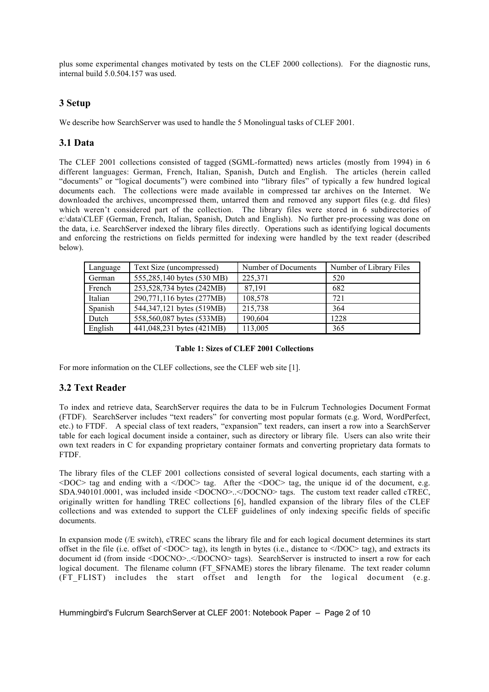plus some experimental changes motivated by tests on the CLEF 2000 collections). For the diagnostic runs, internal build 5.0.504.157 was used.

## **3 Setup**

We describe how SearchServer was used to handle the 5 Monolingual tasks of CLEF 2001.

## **3.1 Data**

The CLEF 2001 collections consisted of tagged (SGML-formatted) news articles (mostly from 1994) in 6 different languages: German, French, Italian, Spanish, Dutch and English. The articles (herein called "documents" or "logical documents") were combined into "library files" of typically a few hundred logical documents each. The collections were made available in compressed tar archives on the Internet. We downloaded the archives, uncompressed them, untarred them and removed any support files (e.g. dtd files) which weren't considered part of the collection. The library files were stored in 6 subdirectories of e:\data\CLEF (German, French, Italian, Spanish, Dutch and English). No further pre-processing was done on the data, i.e. SearchServer indexed the library files directly. Operations such as identifying logical documents and enforcing the restrictions on fields permitted for indexing were handled by the text reader (described below).

| Language | Text Size (uncompressed)    | Number of Documents | Number of Library Files |
|----------|-----------------------------|---------------------|-------------------------|
| German   | 555,285,140 bytes (530 MB)  | 225,371             | 520                     |
| French   | 253,528,734 bytes (242MB)   | 87.191              | 682                     |
| Italian  | 290,771,116 bytes (277MB)   | 108,578             | 721                     |
| Spanish  | 544, 347, 121 bytes (519MB) | 215,738             | 364                     |
| Dutch    | 558,560,087 bytes (533MB)   | 190,604             | 1228                    |
| English  | 441,048,231 bytes (421MB)   | 113,005             | 365                     |

### **Table 1: Sizes of CLEF 2001 Collections**

For more information on the CLEF collections, see the CLEF web site [1].

## **3.2 Text Reader**

To index and retrieve data, SearchServer requires the data to be in Fulcrum Technologies Document Format (FTDF). SearchServer includes "text readers" for converting most popular formats (e.g. Word, WordPerfect, etc.) to FTDF. A special class of text readers, "expansion" text readers, can insert a row into a SearchServer table for each logical document inside a container, such as directory or library file. Users can also write their own text readers in C for expanding proprietary container formats and converting proprietary data formats to FTDF.

The library files of the CLEF 2001 collections consisted of several logical documents, each starting with a  $\langle$ DOC> tag and ending with a  $\langle$ DOC> tag. After the  $\langle$ DOC> tag, the unique id of the document, e.g. SDA.940101.0001, was included inside <DOCNO>..</DOCNO> tags. The custom text reader called cTREC, originally written for handling TREC collections [6], handled expansion of the library files of the CLEF collections and was extended to support the CLEF guidelines of only indexing specific fields of specific documents.

In expansion mode (/E switch), cTREC scans the library file and for each logical document determines its start offset in the file (i.e. offset of  $\langle$ DOC $>$  tag), its length in bytes (i.e., distance to  $\langle$ DOC $>$  tag), and extracts its document id (from inside <DOCNO>..</DOCNO> tags). SearchServer is instructed to insert a row for each logical document. The filename column (FT\_SFNAME) stores the library filename. The text reader column (FT\_FLIST) includes the start offset and length for the logical document (e.g.

Hummingbird's Fulcrum SearchServer at CLEF 2001: Notebook Paper – Page 2 of 10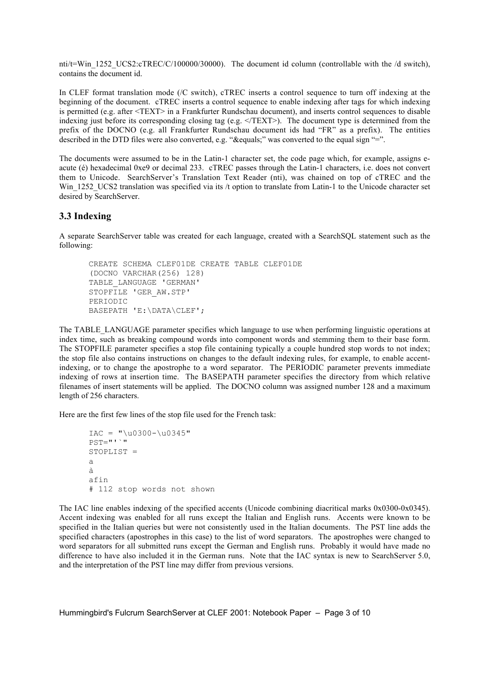nti/t=Win\_1252\_UCS2:cTREC/C/100000/30000). The document id column (controllable with the /d switch), contains the document id.

In CLEF format translation mode (/C switch), cTREC inserts a control sequence to turn off indexing at the beginning of the document. cTREC inserts a control sequence to enable indexing after tags for which indexing is permitted (e.g. after <TEXT> in a Frankfurter Rundschau document), and inserts control sequences to disable indexing just before its corresponding closing tag (e.g. </TEXT>). The document type is determined from the prefix of the DOCNO (e.g. all Frankfurter Rundschau document ids had "FR" as a prefix). The entities described in the DTD files were also converted, e.g. "=" was converted to the equal sign "=".

The documents were assumed to be in the Latin-1 character set, the code page which, for example, assigns eacute (é) hexadecimal 0xe9 or decimal 233. cTREC passes through the Latin-1 characters, i.e. does not convert them to Unicode. SearchServer's Translation Text Reader (nti), was chained on top of cTREC and the Win 1252 UCS2 translation was specified via its /t option to translate from Latin-1 to the Unicode character set desired by SearchServer.

### **3.3 Indexing**

A separate SearchServer table was created for each language, created with a SearchSQL statement such as the following:

```
CREATE SCHEMA CLEF01DE CREATE TABLE CLEF01DE
(DOCNO VARCHAR(256) 128)
TABLE_LANGUAGE 'GERMAN'
STOPFILE 'GER_AW.STP'
PERIODIC
BASEPATH 'E:\DATA\CLEF';
```
The TABLE\_LANGUAGE parameter specifies which language to use when performing linguistic operations at index time, such as breaking compound words into component words and stemming them to their base form. The STOPFILE parameter specifies a stop file containing typically a couple hundred stop words to not index; the stop file also contains instructions on changes to the default indexing rules, for example, to enable accentindexing, or to change the apostrophe to a word separator. The PERIODIC parameter prevents immediate indexing of rows at insertion time. The BASEPATH parameter specifies the directory from which relative filenames of insert statements will be applied. The DOCNO column was assigned number 128 and a maximum length of 256 characters.

Here are the first few lines of the stop file used for the French task:

```
IAC = " \u0300-\u0345"PST="=""STOPLIST =
a
à
afin
# 112 stop words not shown
```
The IAC line enables indexing of the specified accents (Unicode combining diacritical marks 0x0300-0x0345). Accent indexing was enabled for all runs except the Italian and English runs. Accents were known to be specified in the Italian queries but were not consistently used in the Italian documents. The PST line adds the specified characters (apostrophes in this case) to the list of word separators. The apostrophes were changed to word separators for all submitted runs except the German and English runs. Probably it would have made no difference to have also included it in the German runs. Note that the IAC syntax is new to SearchServer 5.0, and the interpretation of the PST line may differ from previous versions.

Hummingbird's Fulcrum SearchServer at CLEF 2001: Notebook Paper – Page 3 of 10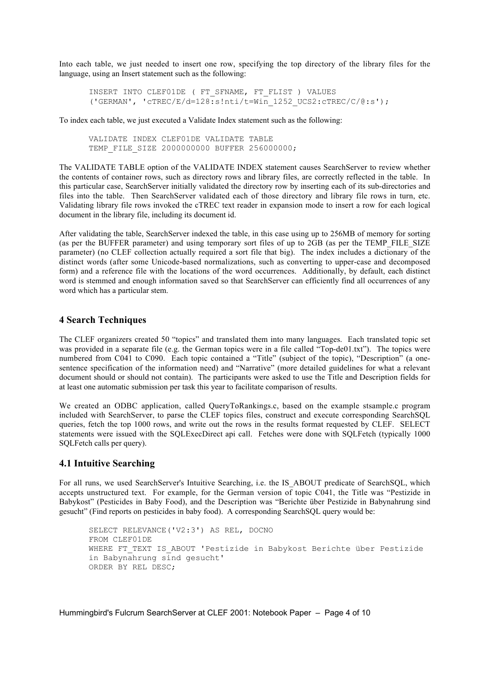Into each table, we just needed to insert one row, specifying the top directory of the library files for the language, using an Insert statement such as the following:

```
INSERT INTO CLEF01DE ( FT_SFNAME, FT_FLIST ) VALUES
('GERMAN', 'cTREC/E/d=128:s!nti/t=Win1252UCS2:cTREC/C/@:s');
```
To index each table, we just executed a Validate Index statement such as the following:

VALIDATE INDEX CLEF01DE VALIDATE TABLE TEMP\_FILE\_SIZE 2000000000 BUFFER 256000000;

The VALIDATE TABLE option of the VALIDATE INDEX statement causes SearchServer to review whether the contents of container rows, such as directory rows and library files, are correctly reflected in the table. In this particular case, SearchServer initially validated the directory row by inserting each of its sub-directories and files into the table. Then SearchServer validated each of those directory and library file rows in turn, etc. Validating library file rows invoked the cTREC text reader in expansion mode to insert a row for each logical document in the library file, including its document id.

After validating the table, SearchServer indexed the table, in this case using up to 256MB of memory for sorting (as per the BUFFER parameter) and using temporary sort files of up to 2GB (as per the TEMP\_FILE\_SIZE parameter) (no CLEF collection actually required a sort file that big). The index includes a dictionary of the distinct words (after some Unicode-based normalizations, such as converting to upper-case and decomposed form) and a reference file with the locations of the word occurrences. Additionally, by default, each distinct word is stemmed and enough information saved so that SearchServer can efficiently find all occurrences of any word which has a particular stem.

### **4 Search Techniques**

The CLEF organizers created 50 "topics" and translated them into many languages. Each translated topic set was provided in a separate file (e.g. the German topics were in a file called "Top-de01.txt"). The topics were numbered from C041 to C090. Each topic contained a "Title" (subject of the topic), "Description" (a onesentence specification of the information need) and "Narrative" (more detailed guidelines for what a relevant document should or should not contain). The participants were asked to use the Title and Description fields for at least one automatic submission per task this year to facilitate comparison of results.

We created an ODBC application, called QueryToRankings.c, based on the example stsample.c program included with SearchServer, to parse the CLEF topics files, construct and execute corresponding SearchSQL queries, fetch the top 1000 rows, and write out the rows in the results format requested by CLEF. SELECT statements were issued with the SQLExecDirect api call. Fetches were done with SQLFetch (typically 1000 SQLFetch calls per query).

## **4.1 Intuitive Searching**

For all runs, we used SearchServer's Intuitive Searching, i.e. the IS\_ABOUT predicate of SearchSQL, which accepts unstructured text. For example, for the German version of topic C041, the Title was "Pestizide in Babykost" (Pesticides in Baby Food), and the Description was "Berichte über Pestizide in Babynahrung sind gesucht" (Find reports on pesticides in baby food). A corresponding SearchSQL query would be:

SELECT RELEVANCE('V2:3') AS REL, DOCNO FROM CLEF01DE WHERE FT TEXT IS ABOUT 'Pestizide in Babykost Berichte über Pestizide in Babynahrung sind gesucht' ORDER BY REL DESC;

Hummingbird's Fulcrum SearchServer at CLEF 2001: Notebook Paper – Page 4 of 10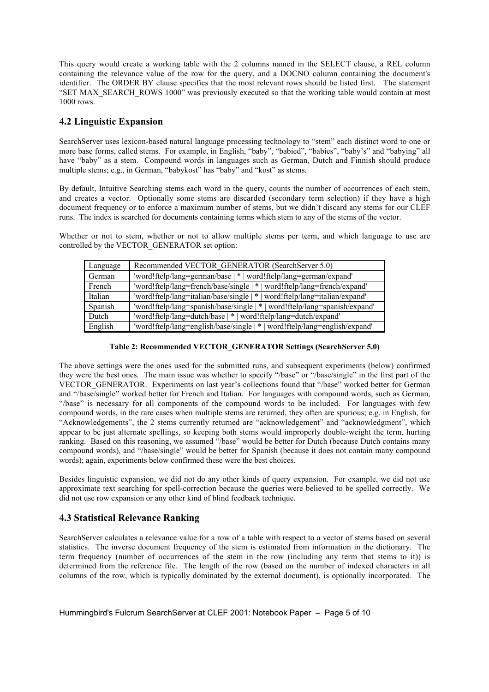This query would create a working table with the 2 columns named in the SELECT clause, a REL column containing the relevance value of the row for the query, and a DOCNO column containing the document's identifier. The ORDER BY clause specifies that the most relevant rows should be listed first. The statement "SET MAX\_SEARCH\_ROWS 1000" was previously executed so that the working table would contain at most 1000 rows.

# **4.2 Linguistic Expansion**

SearchServer uses lexicon-based natural language processing technology to "stem" each distinct word to one or more base forms, called stems. For example, in English, "baby", "babied", "babies", "baby's" and "babying" all have "baby" as a stem. Compound words in languages such as German, Dutch and Finnish should produce multiple stems; e.g., in German, "babykost" has "baby" and "kost" as stems.

By default, Intuitive Searching stems each word in the query, counts the number of occurrences of each stem, and creates a vector. Optionally some stems are discarded (secondary term selection) if they have a high document frequency or to enforce a maximum number of stems, but we didn't discard any stems for our CLEF runs. The index is searched for documents containing terms which stem to any of the stems of the vector.

Whether or not to stem, whether or not to allow multiple stems per term, and which language to use are controlled by the VECTOR\_GENERATOR set option:

| Language | Recommended VECTOR GENERATOR (SearchServer 5.0)                            |
|----------|----------------------------------------------------------------------------|
| German   | 'word!ftelp/lang=german/base   *   word!ftelp/lang=german/expand'          |
| French   | 'word!ftelp/lang=french/base/single   *   word!ftelp/lang=french/expand'   |
| Italian  | 'word!ftelp/lang=italian/base/single   *   word!ftelp/lang=italian/expand' |
| Spanish  | 'word!ftelp/lang=spanish/base/single   *   word!ftelp/lang=spanish/expand' |
| Dutch    | 'word!ftelp/lang=dutch/base   *   word!ftelp/lang=dutch/expand'            |
| English  | 'word!ftelp/lang=english/base/single   *   word!ftelp/lang=english/expand' |

### **Table 2: Recommended VECTOR\_GENERATOR Settings (SearchServer 5.0)**

The above settings were the ones used for the submitted runs, and subsequent experiments (below) confirmed they were the best ones. The main issue was whether to specify "/base" or "/base/single" in the first part of the VECTOR\_GENERATOR. Experiments on last year's collections found that "/base" worked better for German and "/base/single" worked better for French and Italian. For languages with compound words, such as German, "/base" is necessary for all components of the compound words to be included. For languages with few compound words, in the rare cases when multiple stems are returned, they often are spurious; e.g. in English, for "Acknowledgements", the 2 stems currently returned are "acknowledgement" and "acknowledgment", which appear to be just alternate spellings, so keeping both stems would improperly double-weight the term, hurting ranking. Based on this reasoning, we assumed "/base" would be better for Dutch (because Dutch contains many compound words), and "/base/single" would be better for Spanish (because it does not contain many compound words); again, experiments below confirmed these were the best choices.

Besides linguistic expansion, we did not do any other kinds of query expansion. For example, we did not use approximate text searching for spell-correction because the queries were believed to be spelled correctly. We did not use row expansion or any other kind of blind feedback technique.

## **4.3 Statistical Relevance Ranking**

SearchServer calculates a relevance value for a row of a table with respect to a vector of stems based on several statistics. The inverse document frequency of the stem is estimated from information in the dictionary. The term frequency (number of occurrences of the stem in the row (including any term that stems to it)) is determined from the reference file. The length of the row (based on the number of indexed characters in all columns of the row, which is typically dominated by the external document), is optionally incorporated. The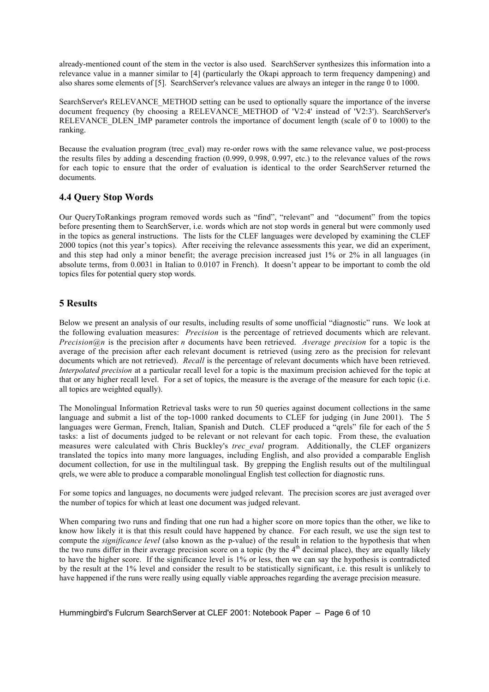already-mentioned count of the stem in the vector is also used. SearchServer synthesizes this information into a relevance value in a manner similar to [4] (particularly the Okapi approach to term frequency dampening) and also shares some elements of [5]. SearchServer's relevance values are always an integer in the range 0 to 1000.

SearchServer's RELEVANCE\_METHOD setting can be used to optionally square the importance of the inverse document frequency (by choosing a RELEVANCE METHOD of 'V2:4' instead of 'V2:3'). SearchServer's RELEVANCE\_DLEN\_IMP parameter controls the importance of document length (scale of 0 to 1000) to the ranking.

Because the evaluation program (trec\_eval) may re-order rows with the same relevance value, we post-process the results files by adding a descending fraction (0.999, 0.998, 0.997, etc.) to the relevance values of the rows for each topic to ensure that the order of evaluation is identical to the order SearchServer returned the documents.

# **4.4 Query Stop Words**

Our QueryToRankings program removed words such as "find", "relevant" and "document" from the topics before presenting them to SearchServer, i.e. words which are not stop words in general but were commonly used in the topics as general instructions. The lists for the CLEF languages were developed by examining the CLEF 2000 topics (not this year's topics). After receiving the relevance assessments this year, we did an experiment, and this step had only a minor benefit; the average precision increased just 1% or 2% in all languages (in absolute terms, from 0.0031 in Italian to 0.0107 in French). It doesn't appear to be important to comb the old topics files for potential query stop words.

# **5 Results**

Below we present an analysis of our results, including results of some unofficial "diagnostic" runs. We look at the following evaluation measures: *Precision* is the percentage of retrieved documents which are relevant. *Precision@n* is the precision after *n* documents have been retrieved. *Average precision* for a topic is the average of the precision after each relevant document is retrieved (using zero as the precision for relevant documents which are not retrieved). *Recall* is the percentage of relevant documents which have been retrieved. *Interpolated precision* at a particular recall level for a topic is the maximum precision achieved for the topic at that or any higher recall level. For a set of topics, the measure is the average of the measure for each topic (i.e. all topics are weighted equally).

The Monolingual Information Retrieval tasks were to run 50 queries against document collections in the same language and submit a list of the top-1000 ranked documents to CLEF for judging (in June 2001). The 5 languages were German, French, Italian, Spanish and Dutch. CLEF produced a "qrels" file for each of the 5 tasks: a list of documents judged to be relevant or not relevant for each topic. From these, the evaluation measures were calculated with Chris Buckley's *trec\_eval* program. Additionally, the CLEF organizers translated the topics into many more languages, including English, and also provided a comparable English document collection, for use in the multilingual task. By grepping the English results out of the multilingual qrels, we were able to produce a comparable monolingual English test collection for diagnostic runs.

For some topics and languages, no documents were judged relevant. The precision scores are just averaged over the number of topics for which at least one document was judged relevant.

When comparing two runs and finding that one run had a higher score on more topics than the other, we like to know how likely it is that this result could have happened by chance. For each result, we use the sign test to compute the *significance level* (also known as the p-value) of the result in relation to the hypothesis that when the two runs differ in their average precision score on a topic (by the  $4<sup>th</sup>$  decimal place), they are equally likely to have the higher score. If the significance level is 1% or less, then we can say the hypothesis is contradicted by the result at the 1% level and consider the result to be statistically significant, i.e. this result is unlikely to have happened if the runs were really using equally viable approaches regarding the average precision measure.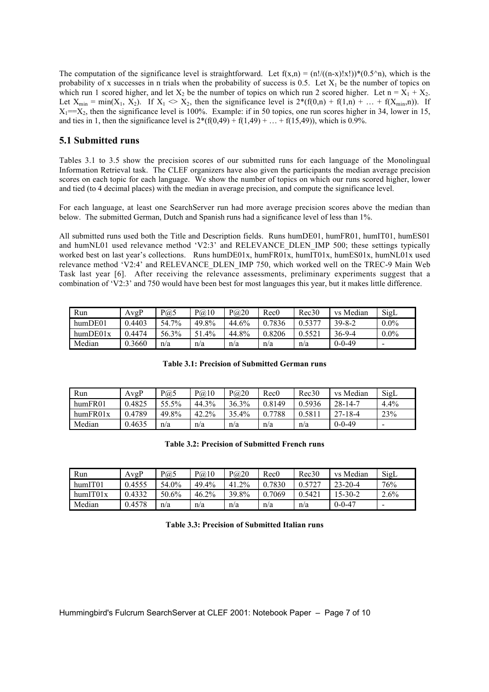The computation of the significance level is straightforward. Let  $f(x,n) = (n!/((n-x)!x!))*(0.5^n n)$ , which is the probability of x successes in n trials when the probability of success is 0.5. Let  $X_1$  be the number of topics on which run 1 scored higher, and let  $X_2$  be the number of topics on which run 2 scored higher. Let  $n = X_1 + X_2$ . Let  $X_{\text{min}} = \min(X_1, X_2)$ . If  $X_1 \leq X_2$ , then the significance level is  $2^*(f(0,n) + f(1,n) + ... + f(X_{\text{min}},n))$ . If  $X_1 = X_2$ , then the significance level is 100%. Example: if in 50 topics, one run scores higher in 34, lower in 15, and ties in 1, then the significance level is  $2*(f(0,49) + f(1,49) + ... + f(15,49))$ , which is 0.9%.

### **5.1 Submitted runs**

Tables 3.1 to 3.5 show the precision scores of our submitted runs for each language of the Monolingual Information Retrieval task. The CLEF organizers have also given the participants the median average precision scores on each topic for each language. We show the number of topics on which our runs scored higher, lower and tied (to 4 decimal places) with the median in average precision, and compute the significance level.

For each language, at least one SearchServer run had more average precision scores above the median than below. The submitted German, Dutch and Spanish runs had a significance level of less than 1%.

All submitted runs used both the Title and Description fields. Runs humDE01, humFR01, humIT01, humES01 and humNL01 used relevance method 'V2:3' and RELEVANCE DLEN IMP 500; these settings typically worked best on last year's collections. Runs humDE01x, humFR01x, humIT01x, humES01x, humNL01x used relevance method 'V2:4' and RELEVANCE\_DLEN\_IMP 750, which worked well on the TREC-9 Main Web Task last year [6]. After receiving the relevance assessments, preliminary experiments suggest that a combination of 'V2:3' and 750 would have been best for most languages this year, but it makes little difference.

| Run      | AvgP   | P(a)5 | P@10  | P@20  | Rec0   | Rec30  | vs Median    | SigL    |
|----------|--------|-------|-------|-------|--------|--------|--------------|---------|
| humDE01  | 0.4403 | 54.7% | 49.8% | 44.6% | 0.7836 | 0.5377 | $39 - 8 - 2$ | $0.0\%$ |
| humpE01x | 0.4474 | 56.3% | 51.4% | 44.8% | 0.8206 | 0.5521 | $36-9-4$     | $0.0\%$ |
| Median   | 0.3660 | n/a   | n/a   | n/a   | n/a    | n/a    | $0 - 0 - 49$ | -       |

**Table 3.1: Precision of Submitted German runs**

| Run      | AvgP   | P@5   | P@10  | P@20  | Rec0   | Rec30  | vs Median     | SigL |
|----------|--------|-------|-------|-------|--------|--------|---------------|------|
| humFR01  | 0.4825 | 55.5% | 44 3% | 36.3% | 0.8149 | 0.5936 | 28-14-7       | 4.4% |
| humFR01x | 0.4789 | 49.8% | 42.2% | 35.4% | 0.7788 | 0.5811 | $27 - 18 - 4$ | 23%  |
| Median   | 0.4635 | n/a   | n/a   | n/a   | n/a    | n/a    | $0 - 0 - 49$  |      |

#### **Table 3.2: Precision of Submitted French runs**

| Run     | AvgP   | P(a)5 | P@10  | P@20  | Rec0   | Rec30  | vs Median     | SigL    |
|---------|--------|-------|-------|-------|--------|--------|---------------|---------|
| humIT01 | 0.4555 | 54.0% | 49.4% | 41.2% | 0.7830 | 0.5727 | $23 - 20 - 4$ | 76%     |
| humT01x | 0.4332 | 50.6% | 46.2% | 39.8% | 0.7069 | 0.5421 | 15-30-2       | $2.6\%$ |
| Median  | 0.4578 | n/a   | n/a   | n/a   | n/a    | n/a    | $0 - 0 - 47$  |         |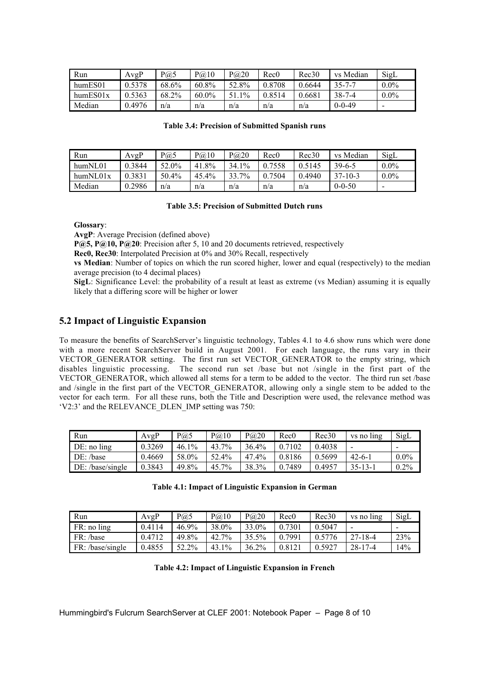| Run      | AvgP   | P(a)5 | P@10     | P@20         | Rec0   | Rec30  | vs Median    | SigL    |
|----------|--------|-------|----------|--------------|--------|--------|--------------|---------|
| humES01  | 0.5378 | 68.6% | 60.8%    | 52.8%        | 0.8708 | 0.6644 | 35-7-7       | $0.0\%$ |
| humES01x | 0.5363 | 68.2% | $60.0\%$ | $1\%$<br>51. | 0.8514 | 0.6681 | $38 - 7 - 4$ | $0.0\%$ |
| Median   | 0.4976 | n/a   | n/a      | n/a          | n/a    | n/a    | $0 - 0 - 49$ |         |

#### **Table 3.4: Precision of Submitted Spanish runs**

| Run      | AvgP   | $P(\widehat{\omega},5)$ | P@10  | P@20  | Rec0   | Rec30  | vs Median     | SigL    |
|----------|--------|-------------------------|-------|-------|--------|--------|---------------|---------|
| humNL01  | 0.3844 | 52.0%                   | 41.8% | 34.1% | 0.7558 | 0.5145 | $39 - 6 - 5$  | $0.0\%$ |
| humNLO1x | 0.3831 | 50.4%                   | 45.4% | 33.7% | 0.7504 | 0.4940 | $37 - 10 - 3$ | $0.0\%$ |
| Median   | 0.2986 | n/a                     | n/a   | n/a   | n/a    | n/a    | $0 - 0 - 50$  |         |

### **Table 3.5: Precision of Submitted Dutch runs**

**Glossary**:

**AvgP**: Average Precision (defined above)

**P**@5, **P**<sup>@</sup>10, **P**<sup>@20</sup>: Precision after 5, 10 and 20 documents retrieved, respectively

**Rec0, Rec30**: Interpolated Precision at 0% and 30% Recall, respectively

**vs Median**: Number of topics on which the run scored higher, lower and equal (respectively) to the median average precision (to 4 decimal places)

**SigL**: Significance Level: the probability of a result at least as extreme (vs Median) assuming it is equally likely that a differing score will be higher or lower

## **5.2 Impact of Linguistic Expansion**

To measure the benefits of SearchServer's linguistic technology, Tables 4.1 to 4.6 show runs which were done with a more recent SearchServer build in August 2001. For each language, the runs vary in their VECTOR\_GENERATOR setting. The first run set VECTOR\_GENERATOR to the empty string, which disables linguistic processing. The second run set /base but not /single in the first part of the VECTOR\_GENERATOR, which allowed all stems for a term to be added to the vector. The third run set /base and /single in the first part of the VECTOR GENERATOR, allowing only a single stem to be added to the vector for each term. For all these runs, both the Title and Description were used, the relevance method was 'V2:3' and the RELEVANCE\_DLEN\_IMP setting was 750:

| Run             | AvgP   | P@5      | P@10  | P@20  | Rec0   | Rec30  | vs no ling    | SigL    |
|-----------------|--------|----------|-------|-------|--------|--------|---------------|---------|
| DE: no ling     | 0.3269 | $46.1\%$ | 43.7% | 36.4% | 0.7102 | 0.4038 | -             |         |
| DE:/base        | 0.4669 | 58.0%    | 52.4% | 47.4% | 0.8186 | 0.5699 | $42 - 6 - 1$  | $0.0\%$ |
| DE:/base/single | 0.3843 | 49.8%    | 45.7% | 38.3% | 0.7489 | 0.4957 | $35 - 13 - 1$ | $0.2\%$ |

|  |  |  |  | Table 4.1: Impact of Linguistic Expansion in German |
|--|--|--|--|-----------------------------------------------------|
|--|--|--|--|-----------------------------------------------------|

| Run              | AvgP   | P(a)5 | $P(\widehat{\omega}, 10)$ | P@20  | Rec0   | Rec30  | vs no ling    | SigL |
|------------------|--------|-------|---------------------------|-------|--------|--------|---------------|------|
| FR: no ling      | 0.4114 | 46.9% | 38.0%                     | 33.0% | 0.7301 | 0.5047 | -             |      |
| FR: /base        | 0.4712 | 49.8% | 42.7%                     | 35.5% | 0.7991 | 0.5776 | $27 - 18 - 4$ | 23%  |
| FR: /base/single | 0.4855 | 52.2% | 43.1%                     | 36.2% | 0.8121 | 0.5927 | $28 - 17 - 4$ | 14%  |

### **Table 4.2: Impact of Linguistic Expansion in French**

Hummingbird's Fulcrum SearchServer at CLEF 2001: Notebook Paper – Page 8 of 10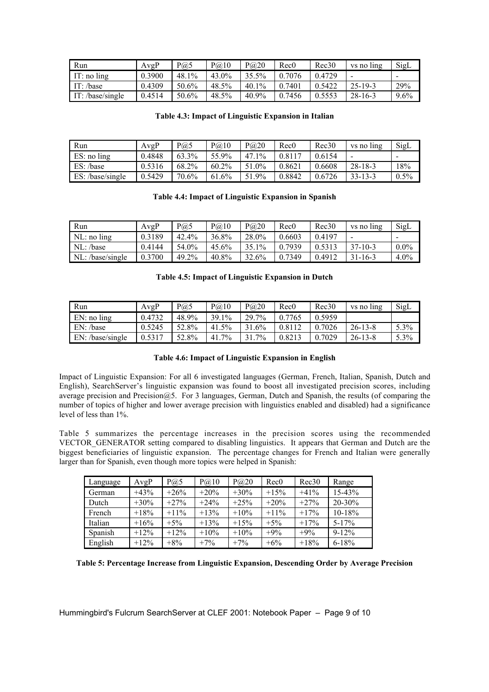| Run              | AvgP   | P(a)5 | $P(\widehat{\omega}, 10)$ | $P$ <sub>(a)</sub> $20$ | Rec0   | Rec30  | vs no ling    | SigL    |
|------------------|--------|-------|---------------------------|-------------------------|--------|--------|---------------|---------|
| IT: no $\lim$    | 0.3900 | 48.1% | 43.0%                     | 35.5%                   | 0.7076 | 0.4729 | -             |         |
| IT: $/base$      | 0.4309 | 50.6% | 48.5%                     | 40.1%                   | 0.7401 | 0.5422 | $25 - 19 - 3$ | 29%     |
| IT: /base/single | 0.4514 | 50.6% | 48.5%                     | 40.9%                   | 0.7456 | 0.5553 | $28 - 16 - 3$ | $9.6\%$ |

### **Table 4.3: Impact of Linguistic Expansion in Italian**

| Run              | AvgP   | P@5   | P@.10 | P@20     | Rec0   | Rec30  | vs no ling    | SigL    |
|------------------|--------|-------|-------|----------|--------|--------|---------------|---------|
| ES: no ling      | 0.4848 | 63.3% | 55.9% | $47.1\%$ | 0.8117 | 0.6154 | -             |         |
| ES: /base        | 0.5316 | 68.2% | 60.2% | 51.0%    | 0.8621 | 0.6608 | $28 - 18 - 3$ | 18%     |
| ES: /base/single | 0.5429 | 70.6% | 61.6% | 51.9%    | 0.8842 | 0.6726 | $33 - 13 - 3$ | $0.5\%$ |

#### **Table 4.4: Impact of Linguistic Expansion in Spanish**

| Run              | AvgP   | P(a)5 | $P(\widehat{\omega})$ 10 | $P$ <sub>(a)</sub> $20$ | Rec0   | Rec30  | vs no ling               | SigL    |
|------------------|--------|-------|--------------------------|-------------------------|--------|--------|--------------------------|---------|
| $NL: no$ ling    | 0.3189 | 42.4% | 36.8%                    | 28.0%                   | 0.6603 | 0.4197 | $\overline{\phantom{0}}$ |         |
| NL: /base        | 0.4144 | 54.0% | 45.6%                    | 35.1%                   | 0.7939 | 0.5313 | $37 - 10 - 3$            | $0.0\%$ |
| NL: /base/single | 0.3700 | 49.2% | 40.8%                    | 32.6%                   | 0.7349 | 0.4912 | $31 - 16 - 3$            | $4.0\%$ |

### **Table 4.5: Impact of Linguistic Expansion in Dutch**

| Run              | AvgP   | P(a)5 | $P(\widehat{\omega}, 10)$ | P@20  | Rec0   | Rec30  | vs no ling    | SigL |
|------------------|--------|-------|---------------------------|-------|--------|--------|---------------|------|
| $EN:$ no ling    | 0.4732 | 48.9% | 39.1%                     | 29.7% | 0.7765 | 0.5959 |               |      |
| EN: /base        | 0.5245 | 52.8% | 41.5%                     | 31.6% | 0.8112 | 0.7026 | $26 - 13 - 8$ | 5.3% |
| EN: /base/single | 0.5317 | 52.8% | $7\%$<br>$-41.$           | 31.7% | 0.8213 | 0.7029 | $26 - 13 - 8$ | 5.3% |

### **Table 4.6: Impact of Linguistic Expansion in English**

Impact of Linguistic Expansion: For all 6 investigated languages (German, French, Italian, Spanish, Dutch and English), SearchServer's linguistic expansion was found to boost all investigated precision scores, including average precision and Precision@5. For 3 languages, German, Dutch and Spanish, the results (of comparing the number of topics of higher and lower average precision with linguistics enabled and disabled) had a significance level of less than 1%.

Table 5 summarizes the percentage increases in the precision scores using the recommended VECTOR\_GENERATOR setting compared to disabling linguistics. It appears that German and Dutch are the biggest beneficiaries of linguistic expansion. The percentage changes for French and Italian were generally larger than for Spanish, even though more topics were helped in Spanish:

| Language | AvgP    | P(a)5   | $P(\widehat{\omega}, 10)$ | $P(\partial 20)$ | Rec0    | Rec30  | Range       |
|----------|---------|---------|---------------------------|------------------|---------|--------|-------------|
| German   | $+43%$  | $+26%$  | $+20%$                    | $+30%$           | $+15%$  | $+41%$ | $15 - 43%$  |
| Dutch    | $+30%$  | $+27%$  | $+24%$                    | $+25%$           | $+20%$  | $+27%$ | $20 - 30\%$ |
| French   | $+18%$  | $+11\%$ | $+13%$                    | $+10\%$          | $+11\%$ | $+17%$ | $10-18%$    |
| Italian  | $+16%$  | $+5\%$  | $+13%$                    | $+15%$           | $+5%$   | $+17%$ | $5 - 17%$   |
| Spanish  | $+12%$  | $+12\%$ | $+10\%$                   | $+10\%$          | $+9%$   | $+9%$  | $9 - 12%$   |
| English  | $+12\%$ | $+8\%$  | $+7%$                     | $+7\%$           | $+6\%$  | $+18%$ | $6 - 18%$   |

**Table 5: Percentage Increase from Linguistic Expansion, Descending Order by Average Precision**

Hummingbird's Fulcrum SearchServer at CLEF 2001: Notebook Paper – Page 9 of 10